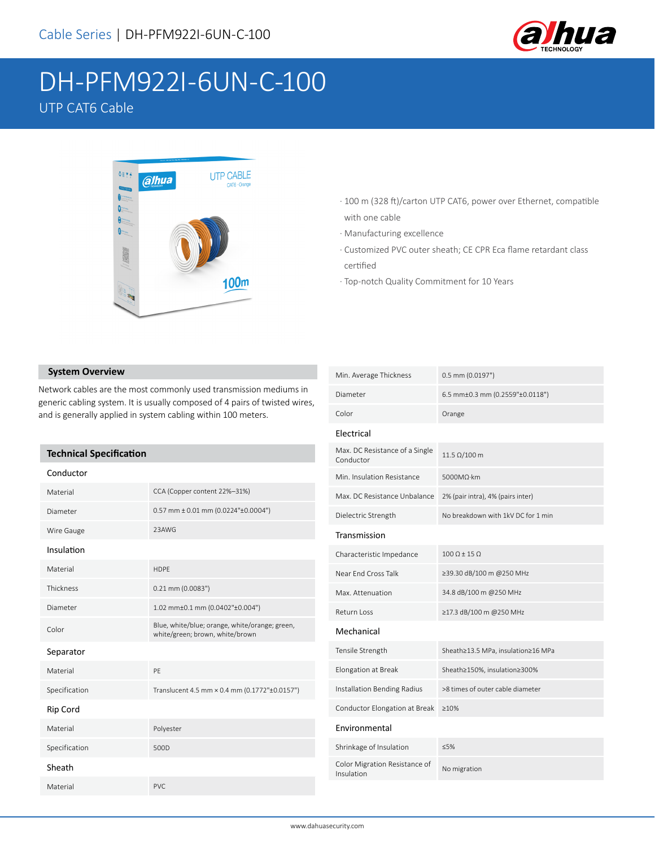

# DH-PFM922I-6UN-C-100 UTP CAT6 Cable



- · 100 m (328 ft)/carton UTP CAT6, power over Ethernet, compatible with one cable
- · Manufacturing excellence
- · Customized PVC outer sheath; CE CPR Eca flame retardant class certified
- · Top-notch Quality Commitment for 10 Years

#### **System Overview**

Network cables are the most commonly used transmission mediums in generic cabling system. It is usually composed of 4 pairs of twisted wires, and is generally applied in system cabling within 100 meters.

#### **Technical Specification**

| Conductor     |                                                                                   |
|---------------|-----------------------------------------------------------------------------------|
| Material      | CCA (Copper content 22%-31%)                                                      |
| Diameter      | $0.57$ mm $\pm$ 0.01 mm (0.0224" $\pm$ 0.0004")                                   |
| Wire Gauge    | 23AWG                                                                             |
| Insulation    |                                                                                   |
| Material      | <b>HDPF</b>                                                                       |
| Thickness     | $0.21$ mm (0.0083")                                                               |
| Diameter      | 1.02 mm±0.1 mm (0.0402"±0.004")                                                   |
| Color         | Blue, white/blue; orange, white/orange; green,<br>white/green; brown, white/brown |
| Separator     |                                                                                   |
| Material      | PF                                                                                |
| Specification | Translucent 4.5 mm × 0.4 mm (0.1772"±0.0157")                                     |
| Rip Cord      |                                                                                   |
| Material      | Polyester                                                                         |
| Specification | 500D                                                                              |
| Sheath        |                                                                                   |
| Material      | PVC.                                                                              |

| Min. Average Thickness                      | $0.5$ mm (0.0197")                 |  |
|---------------------------------------------|------------------------------------|--|
| Diameter                                    | 6.5 mm±0.3 mm (0.2559"±0.0118")    |  |
| Color                                       | Orange                             |  |
| Electrical                                  |                                    |  |
| Max. DC Resistance of a Single<br>Conductor | $11.5$ Ω/100 m                     |  |
| Min. Insulation Resistance                  | 5000MΩ·km                          |  |
| Max. DC Resistance Unbalance                | 2% (pair intra), 4% (pairs inter)  |  |
| Dielectric Strength                         | No breakdown with 1kV DC for 1 min |  |
| Transmission                                |                                    |  |
| Characteristic Impedance                    | $100 \Omega \pm 15 \Omega$         |  |
| Near End Cross Talk                         | ≥39.30 dB/100 m @250 MHz           |  |
| Max. Attenuation                            | 34.8 dB/100 m @250 MHz             |  |
| Return Loss                                 | ≥17.3 dB/100 m @250 MHz            |  |
| Mechanical                                  |                                    |  |
| Tensile Strength                            | Sheath≥13.5 MPa, insulation≥16 MPa |  |
| Elongation at Break                         | Sheath≥150%, insulation≥300%       |  |
| Installation Bending Radius                 | >8 times of outer cable diameter   |  |
| Conductor Elongation at Break               | >10%                               |  |
| Environmental                               |                                    |  |
| Shrinkage of Insulation                     | ≤5%                                |  |
| Color Migration Resistance of<br>Insulation | No migration                       |  |